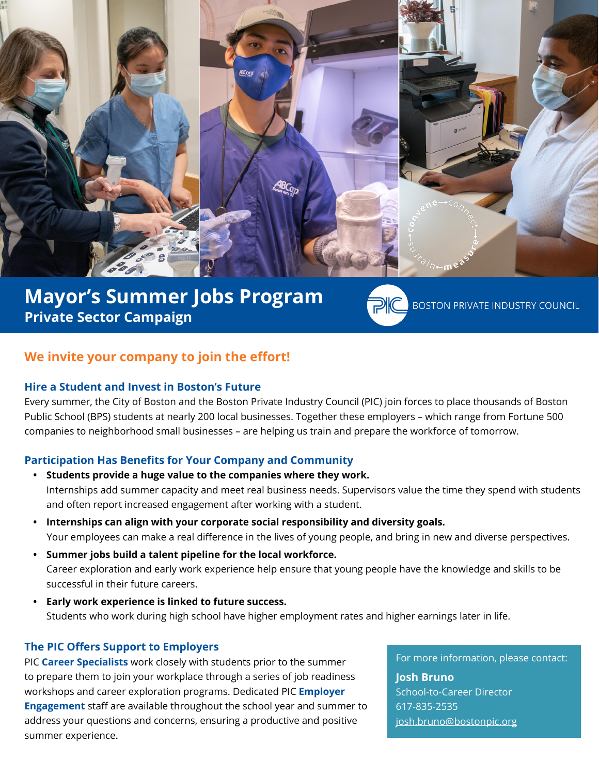

# **Mayor's Summer Jobs Program Private Sector Campaign**

**BOSTON PRIVATE INDUSTRY COUNCIL** 

# **We invite your company to join the effort!**

### **Hire a Student and Invest in Boston's Future**

Every summer, the City of Boston and the Boston Private Industry Council (PIC) join forces to place thousands of Boston Public School (BPS) students at nearly 200 local businesses. Together these employers – which range from Fortune 500 companies to neighborhood small businesses – are helping us train and prepare the workforce of tomorrow.

### **Participation Has Benefits for Your Company and Community**

- **• Students provide a huge value to the companies where they work.** Internships add summer capacity and meet real business needs. Supervisors value the time they spend with students and often report increased engagement after working with a student.
- **• Internships can align with your corporate social responsibility and diversity goals.** Your employees can make a real difference in the lives of young people, and bring in new and diverse perspectives.
- **• Summer jobs build a talent pipeline for the local workforce.**  Career exploration and early work experience help ensure that young people have the knowledge and skills to be successful in their future careers.
- **• Early work experience is linked to future success.**  Students who work during high school have higher employment rates and higher earnings later in life.

### **The PIC Offers Support to Employers**

PIC **Career Specialists** work closely with students prior to the summer to prepare them to join your workplace through a series of job readiness workshops and career exploration programs. Dedicated PIC **Employer Engagement** staff are available throughout the school year and summer to address your questions and concerns, ensuring a productive and positive summer experience.

For more information, please contact:

**Josh Bruno** School-to-Career Director 617-835-2535 josh.bruno@bostonpic.org